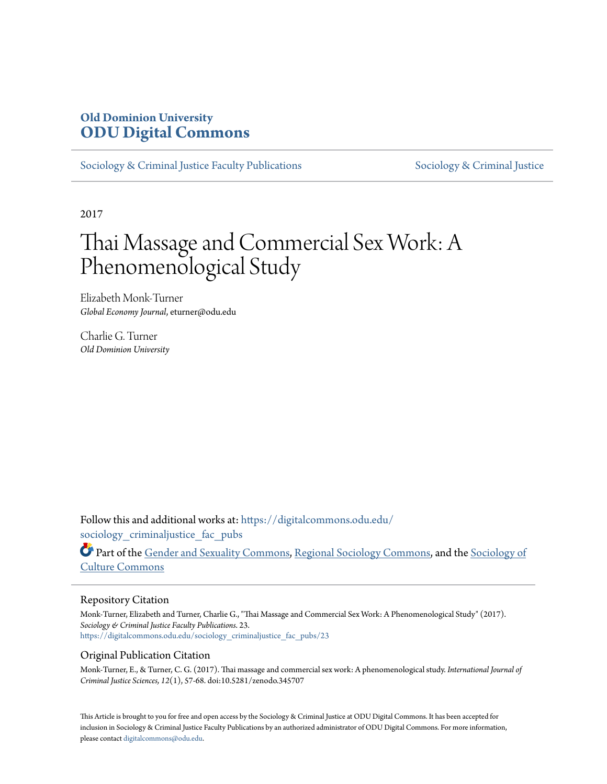## **Old Dominion University [ODU Digital Commons](https://digitalcommons.odu.edu?utm_source=digitalcommons.odu.edu%2Fsociology_criminaljustice_fac_pubs%2F23&utm_medium=PDF&utm_campaign=PDFCoverPages)**

[Sociology & Criminal Justice Faculty Publications](https://digitalcommons.odu.edu/sociology_criminaljustice_fac_pubs?utm_source=digitalcommons.odu.edu%2Fsociology_criminaljustice_fac_pubs%2F23&utm_medium=PDF&utm_campaign=PDFCoverPages) [Sociology & Criminal Justice](https://digitalcommons.odu.edu/sociology_criminaljustice?utm_source=digitalcommons.odu.edu%2Fsociology_criminaljustice_fac_pubs%2F23&utm_medium=PDF&utm_campaign=PDFCoverPages)

2017

# Thai Massage and Commercial Sex Work: A Phenomenological Study

Elizabeth Monk-Turner *Global Economy Journal*, eturner@odu.edu

Charlie G. Turner *Old Dominion University*

Follow this and additional works at: [https://digitalcommons.odu.edu/](https://digitalcommons.odu.edu/sociology_criminaljustice_fac_pubs?utm_source=digitalcommons.odu.edu%2Fsociology_criminaljustice_fac_pubs%2F23&utm_medium=PDF&utm_campaign=PDFCoverPages) sociology criminaljustice fac pubs

Part of the [Gender and Sexuality Commons](http://network.bepress.com/hgg/discipline/420?utm_source=digitalcommons.odu.edu%2Fsociology_criminaljustice_fac_pubs%2F23&utm_medium=PDF&utm_campaign=PDFCoverPages), [Regional Sociology Commons](http://network.bepress.com/hgg/discipline/427?utm_source=digitalcommons.odu.edu%2Fsociology_criminaljustice_fac_pubs%2F23&utm_medium=PDF&utm_campaign=PDFCoverPages), and the [Sociology of](http://network.bepress.com/hgg/discipline/431?utm_source=digitalcommons.odu.edu%2Fsociology_criminaljustice_fac_pubs%2F23&utm_medium=PDF&utm_campaign=PDFCoverPages) [Culture Commons](http://network.bepress.com/hgg/discipline/431?utm_source=digitalcommons.odu.edu%2Fsociology_criminaljustice_fac_pubs%2F23&utm_medium=PDF&utm_campaign=PDFCoverPages)

#### Repository Citation

Monk-Turner, Elizabeth and Turner, Charlie G., "Thai Massage and Commercial Sex Work: A Phenomenological Study" (2017). *Sociology & Criminal Justice Faculty Publications*. 23. [https://digitalcommons.odu.edu/sociology\\_criminaljustice\\_fac\\_pubs/23](https://digitalcommons.odu.edu/sociology_criminaljustice_fac_pubs/23?utm_source=digitalcommons.odu.edu%2Fsociology_criminaljustice_fac_pubs%2F23&utm_medium=PDF&utm_campaign=PDFCoverPages)

## Original Publication Citation

Monk-Turner, E., & Turner, C. G. (2017). Thai massage and commercial sex work: A phenomenological study. *International Journal of Criminal Justice Sciences, 12*(1), 57-68. doi:10.5281/zenodo.345707

This Article is brought to you for free and open access by the Sociology & Criminal Justice at ODU Digital Commons. It has been accepted for inclusion in Sociology & Criminal Justice Faculty Publications by an authorized administrator of ODU Digital Commons. For more information, please contact [digitalcommons@odu.edu](mailto:digitalcommons@odu.edu).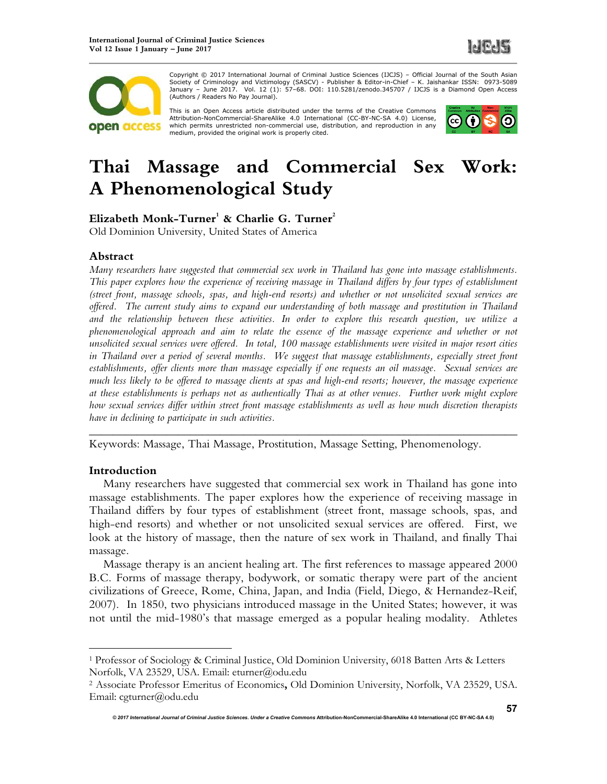



Copyright © 2017 International Journal of Criminal Justice Sciences (IJCJS) – Official Journal of the South Asian Copyright © 2017 International Journal of Criminal Justice Steffites (UCJS) − Onicial Journal of the Soutri Asian<br>Society of Criminology and Victimology (SASCV) - Publisher & Editor-in-Chief – K. Jaishankar ISSN: 0973-50 (Authors / Readers No Pay Journal).

This is an Open Access article distributed under the terms of the Creative Commons<br>Attribution-NonCommercial-ShareAlike 4.0 International (CC-BY-NC-SA 4.0) License, which permits unrestricted non-commercial use, distribution, and reproduction in any medium, provided the original work is properly cited.



## **Thai Massage and Commercial Sex Work: A Phenomenological Study**

**Elizabeth Monk-Turner<sup>1</sup> & Charlie G. Turner<sup>2</sup>**

Old Dominion University, United States of America

## **Abstract**

*Many researchers have suggested that commercial sex work in Thailand has gone into massage establishments. This paper explores how the experience of receiving massage in Thailand differs by four types of establishment (street front, massage schools, spas, and high-end resorts) and whether or not unsolicited sexual services are offered. The current study aims to expand our understanding of both massage and prostitution in Thailand and the relationship between these activities. In order to explore this research question, we utilize a phenomenological approach and aim to relate the essence of the massage experience and whether or not unsolicited sexual services were offered. In total, 100 massage establishments were visited in major resort cities*  in Thailand over a period of several months. We suggest that massage establishments, especially street front *establishments, offer clients more than massage especially if one requests an oil massage. Sexual services are much less likely to be offered to massage clients at spas and high-end resorts; however, the massage experience at these establishments is perhaps not as authentically Thai as at other venues. Further work might explore how sexual services differ within street front massage establishments as well as how much discretion therapists have in declining to participate in such activities.* 

*\_\_\_\_\_\_\_\_\_\_\_\_\_\_\_\_\_\_\_\_\_\_\_\_\_\_\_\_\_\_\_\_\_\_\_\_\_\_\_\_\_\_\_\_\_\_\_\_\_\_\_\_\_\_\_\_\_\_\_\_\_\_\_\_\_\_\_\_\_\_\_\_*

Keywords: Massage, Thai Massage, Prostitution, Massage Setting, Phenomenology.

## **Introduction**

 $\overline{a}$ 

Many researchers have suggested that commercial sex work in Thailand has gone into massage establishments. The paper explores how the experience of receiving massage in Thailand differs by four types of establishment (street front, massage schools, spas, and high-end resorts) and whether or not unsolicited sexual services are offered. First, we look at the history of massage, then the nature of sex work in Thailand, and finally Thai massage.

Massage therapy is an ancient healing art. The first references to massage appeared 2000 B.C. Forms of massage therapy, bodywork, or somatic therapy were part of the ancient civilizations of Greece, Rome, China, Japan, and India (Field, Diego, & Hernandez-Reif, 2007). In 1850, two physicians introduced massage in the United States; however, it was not until the mid-1980's that massage emerged as a popular healing modality. Athletes

<sup>&</sup>lt;sup>1</sup> Professor of Sociology & Criminal Justice, Old Dominion University, 6018 Batten Arts & Letters Norfolk, VA 23529, USA. Email: eturner@odu.edu

<sup>2</sup> Associate Professor Emeritus of Economics**,** Old Dominion University, Norfolk, VA 23529, USA. Email: cgturner@odu.edu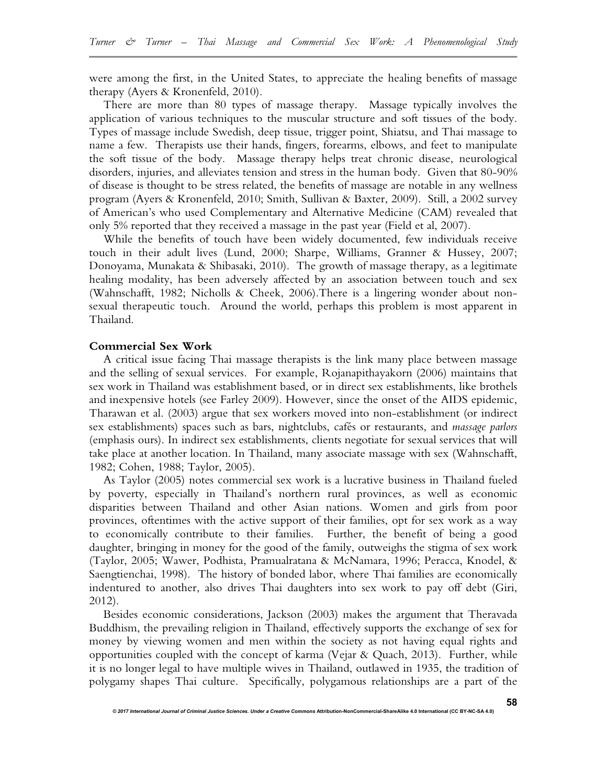were among the first, in the United States, to appreciate the healing benefits of massage therapy (Ayers & Kronenfeld, 2010).

There are more than 80 types of massage therapy. Massage typically involves the application of various techniques to the muscular structure and soft tissues of the body. Types of massage include Swedish, deep tissue, trigger point, Shiatsu, and Thai massage to name a few. Therapists use their hands, fingers, forearms, elbows, and feet to manipulate the soft tissue of the body. Massage therapy helps treat chronic disease, neurological disorders, injuries, and alleviates tension and stress in the human body. Given that 80-90% of disease is thought to be stress related, the benefits of massage are notable in any wellness program (Ayers & Kronenfeld, 2010; Smith, Sullivan & Baxter, 2009). Still, a 2002 survey of American's who used Complementary and Alternative Medicine (CAM) revealed that only 5% reported that they received a massage in the past year (Field et al, 2007).

While the benefits of touch have been widely documented, few individuals receive touch in their adult lives (Lund, 2000; Sharpe, Williams, Granner & Hussey, 2007; Donoyama, Munakata & Shibasaki, 2010). The growth of massage therapy, as a legitimate healing modality, has been adversely affected by an association between touch and sex (Wahnschafft, 1982; Nicholls & Cheek, 2006).There is a lingering wonder about nonsexual therapeutic touch. Around the world, perhaps this problem is most apparent in Thailand.

## **Commercial Sex Work**

A critical issue facing Thai massage therapists is the link many place between massage and the selling of sexual services. For example, Rojanapithayakorn (2006) maintains that sex work in Thailand was establishment based, or in direct sex establishments, like brothels and inexpensive hotels (see Farley 2009). However, since the onset of the AIDS epidemic, Tharawan et al. (2003) argue that sex workers moved into non-establishment (or indirect sex establishments) spaces such as bars, nightclubs, cafés or restaurants, and *massage parlors* (emphasis ours). In indirect sex establishments, clients negotiate for sexual services that will take place at another location. In Thailand, many associate massage with sex (Wahnschafft, 1982; Cohen, 1988; Taylor, 2005).

As Taylor (2005) notes commercial sex work is a lucrative business in Thailand fueled by poverty, especially in Thailand's northern rural provinces, as well as economic disparities between Thailand and other Asian nations. Women and girls from poor provinces, oftentimes with the active support of their families, opt for sex work as a way to economically contribute to their families. Further, the benefit of being a good daughter, bringing in money for the good of the family, outweighs the stigma of sex work (Taylor, 2005; Wawer, Podhista, Pramualratana & McNamara, 1996; Peracca, Knodel, & Saengtienchai, 1998). The history of bonded labor, where Thai families are economically indentured to another, also drives Thai daughters into sex work to pay off debt (Giri, 2012).

Besides economic considerations, Jackson (2003) makes the argument that Theravada Buddhism, the prevailing religion in Thailand, effectively supports the exchange of sex for money by viewing women and men within the society as not having equal rights and opportunities coupled with the concept of karma (Vejar & Quach, 2013). Further, while it is no longer legal to have multiple wives in Thailand, outlawed in 1935, the tradition of polygamy shapes Thai culture. Specifically, polygamous relationships are a part of the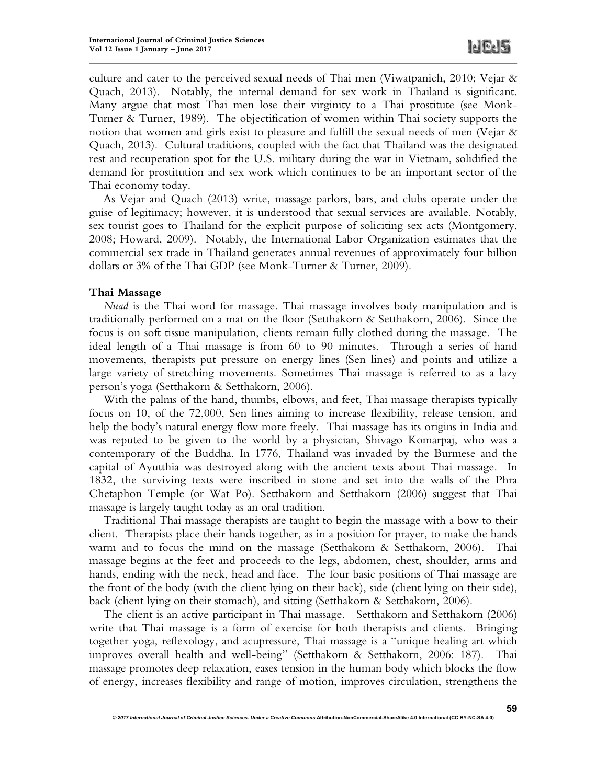culture and cater to the perceived sexual needs of Thai men (Viwatpanich, 2010; Vejar & Quach, 2013). Notably, the internal demand for sex work in Thailand is significant. Many argue that most Thai men lose their virginity to a Thai prostitute (see Monk-Turner & Turner, 1989). The objectification of women within Thai society supports the notion that women and girls exist to pleasure and fulfill the sexual needs of men (Vejar  $\&$ Quach, 2013). Cultural traditions, coupled with the fact that Thailand was the designated rest and recuperation spot for the U.S. military during the war in Vietnam, solidified the demand for prostitution and sex work which continues to be an important sector of the Thai economy today.

As Vejar and Quach (2013) write, massage parlors, bars, and clubs operate under the guise of legitimacy; however, it is understood that sexual services are available. Notably, sex tourist goes to Thailand for the explicit purpose of soliciting sex acts (Montgomery, 2008; Howard, 2009). Notably, the International Labor Organization estimates that the commercial sex trade in Thailand generates annual revenues of approximately four billion dollars or 3% of the Thai GDP (see Monk-Turner & Turner, 2009).

## **Thai Massage**

*Nuad* is the Thai word for massage. Thai massage involves body manipulation and is traditionally performed on a mat on the floor (Setthakorn & Setthakorn, 2006). Since the focus is on soft tissue manipulation, clients remain fully clothed during the massage. The ideal length of a Thai massage is from 60 to 90 minutes. Through a series of hand movements, therapists put pressure on energy lines (Sen lines) and points and utilize a large variety of stretching movements. Sometimes Thai massage is referred to as a lazy person's yoga (Setthakorn & Setthakorn, 2006).

With the palms of the hand, thumbs, elbows, and feet, Thai massage therapists typically focus on 10, of the 72,000, Sen lines aiming to increase flexibility, release tension, and help the body's natural energy flow more freely. Thai massage has its origins in India and was reputed to be given to the world by a physician, Shivago Komarpaj, who was a contemporary of the Buddha. In 1776, Thailand was invaded by the Burmese and the capital of Ayutthia was destroyed along with the ancient texts about Thai massage. In 1832, the surviving texts were inscribed in stone and set into the walls of the Phra Chetaphon Temple (or Wat Po). Setthakorn and Setthakorn (2006) suggest that Thai massage is largely taught today as an oral tradition.

Traditional Thai massage therapists are taught to begin the massage with a bow to their client. Therapists place their hands together, as in a position for prayer, to make the hands warm and to focus the mind on the massage (Setthakorn & Setthakorn, 2006). Thai massage begins at the feet and proceeds to the legs, abdomen, chest, shoulder, arms and hands, ending with the neck, head and face. The four basic positions of Thai massage are the front of the body (with the client lying on their back), side (client lying on their side), back (client lying on their stomach), and sitting (Setthakorn & Setthakorn, 2006).

The client is an active participant in Thai massage. Setthakorn and Setthakorn (2006) write that Thai massage is a form of exercise for both therapists and clients. Bringing together yoga, reflexology, and acupressure, Thai massage is a "unique healing art which improves overall health and well-being" (Setthakorn & Setthakorn, 2006: 187). Thai massage promotes deep relaxation, eases tension in the human body which blocks the flow of energy, increases flexibility and range of motion, improves circulation, strengthens the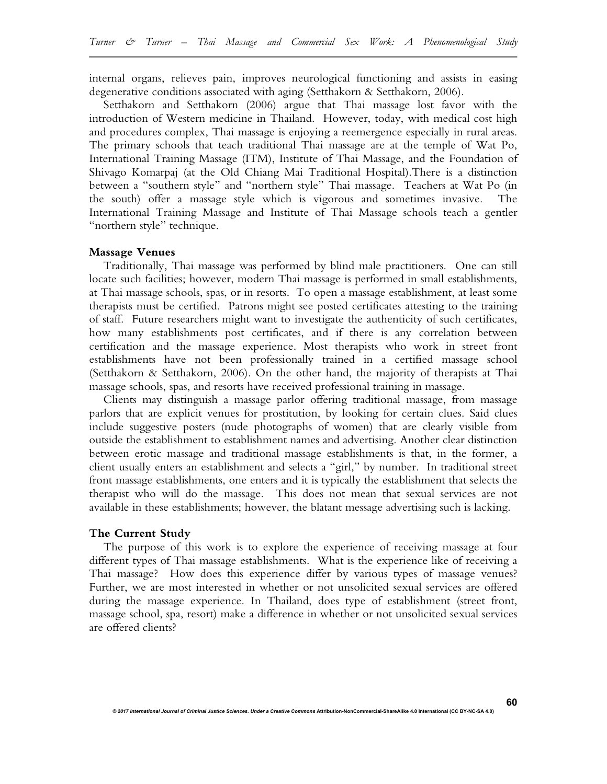internal organs, relieves pain, improves neurological functioning and assists in easing degenerative conditions associated with aging (Setthakorn & Setthakorn, 2006).

Setthakorn and Setthakorn (2006) argue that Thai massage lost favor with the introduction of Western medicine in Thailand. However, today, with medical cost high and procedures complex, Thai massage is enjoying a reemergence especially in rural areas. The primary schools that teach traditional Thai massage are at the temple of Wat Po, International Training Massage (ITM), Institute of Thai Massage, and the Foundation of Shivago Komarpaj (at the Old Chiang Mai Traditional Hospital).There is a distinction between a "southern style" and "northern style" Thai massage. Teachers at Wat Po (in the south) offer a massage style which is vigorous and sometimes invasive. The International Training Massage and Institute of Thai Massage schools teach a gentler "northern style" technique.

#### **Massage Venues**

Traditionally, Thai massage was performed by blind male practitioners. One can still locate such facilities; however, modern Thai massage is performed in small establishments, at Thai massage schools, spas, or in resorts. To open a massage establishment, at least some therapists must be certified. Patrons might see posted certificates attesting to the training of staff. Future researchers might want to investigate the authenticity of such certificates, how many establishments post certificates, and if there is any correlation between certification and the massage experience. Most therapists who work in street front establishments have not been professionally trained in a certified massage school (Setthakorn & Setthakorn, 2006). On the other hand, the majority of therapists at Thai massage schools, spas, and resorts have received professional training in massage.

Clients may distinguish a massage parlor offering traditional massage, from massage parlors that are explicit venues for prostitution, by looking for certain clues. Said clues include suggestive posters (nude photographs of women) that are clearly visible from outside the establishment to establishment names and advertising. Another clear distinction between erotic massage and traditional massage establishments is that, in the former, a client usually enters an establishment and selects a "girl," by number. In traditional street front massage establishments, one enters and it is typically the establishment that selects the therapist who will do the massage. This does not mean that sexual services are not available in these establishments; however, the blatant message advertising such is lacking.

#### **The Current Study**

The purpose of this work is to explore the experience of receiving massage at four different types of Thai massage establishments. What is the experience like of receiving a Thai massage? How does this experience differ by various types of massage venues? Further, we are most interested in whether or not unsolicited sexual services are offered during the massage experience. In Thailand, does type of establishment (street front, massage school, spa, resort) make a difference in whether or not unsolicited sexual services are offered clients?

**60**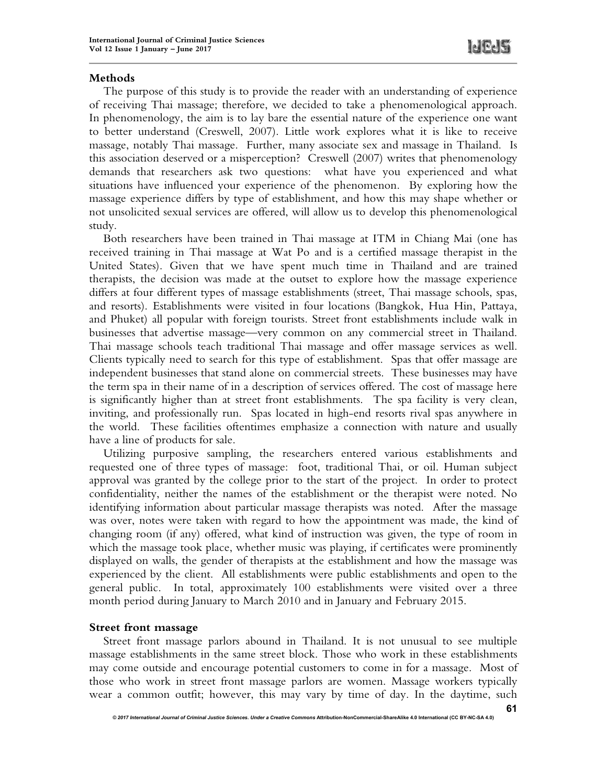## **Methods**

The purpose of this study is to provide the reader with an understanding of experience of receiving Thai massage; therefore, we decided to take a phenomenological approach. In phenomenology, the aim is to lay bare the essential nature of the experience one want to better understand (Creswell, 2007). Little work explores what it is like to receive massage, notably Thai massage. Further, many associate sex and massage in Thailand. Is this association deserved or a misperception? Creswell (2007) writes that phenomenology demands that researchers ask two questions: what have you experienced and what situations have influenced your experience of the phenomenon. By exploring how the massage experience differs by type of establishment, and how this may shape whether or not unsolicited sexual services are offered, will allow us to develop this phenomenological study.

Both researchers have been trained in Thai massage at ITM in Chiang Mai (one has received training in Thai massage at Wat Po and is a certified massage therapist in the United States). Given that we have spent much time in Thailand and are trained therapists, the decision was made at the outset to explore how the massage experience differs at four different types of massage establishments (street, Thai massage schools, spas, and resorts). Establishments were visited in four locations (Bangkok, Hua Hin, Pattaya, and Phuket) all popular with foreign tourists. Street front establishments include walk in businesses that advertise massage—very common on any commercial street in Thailand. Thai massage schools teach traditional Thai massage and offer massage services as well. Clients typically need to search for this type of establishment. Spas that offer massage are independent businesses that stand alone on commercial streets. These businesses may have the term spa in their name of in a description of services offered. The cost of massage here is significantly higher than at street front establishments. The spa facility is very clean, inviting, and professionally run. Spas located in high-end resorts rival spas anywhere in the world. These facilities oftentimes emphasize a connection with nature and usually have a line of products for sale.

Utilizing purposive sampling, the researchers entered various establishments and requested one of three types of massage: foot, traditional Thai, or oil. Human subject approval was granted by the college prior to the start of the project. In order to protect confidentiality, neither the names of the establishment or the therapist were noted. No identifying information about particular massage therapists was noted. After the massage was over, notes were taken with regard to how the appointment was made, the kind of changing room (if any) offered, what kind of instruction was given, the type of room in which the massage took place, whether music was playing, if certificates were prominently displayed on walls, the gender of therapists at the establishment and how the massage was experienced by the client. All establishments were public establishments and open to the general public. In total, approximately 100 establishments were visited over a three month period during January to March 2010 and in January and February 2015.

## **Street front massage**

Street front massage parlors abound in Thailand. It is not unusual to see multiple massage establishments in the same street block. Those who work in these establishments may come outside and encourage potential customers to come in for a massage. Most of those who work in street front massage parlors are women. Massage workers typically wear a common outfit; however, this may vary by time of day. In the daytime, such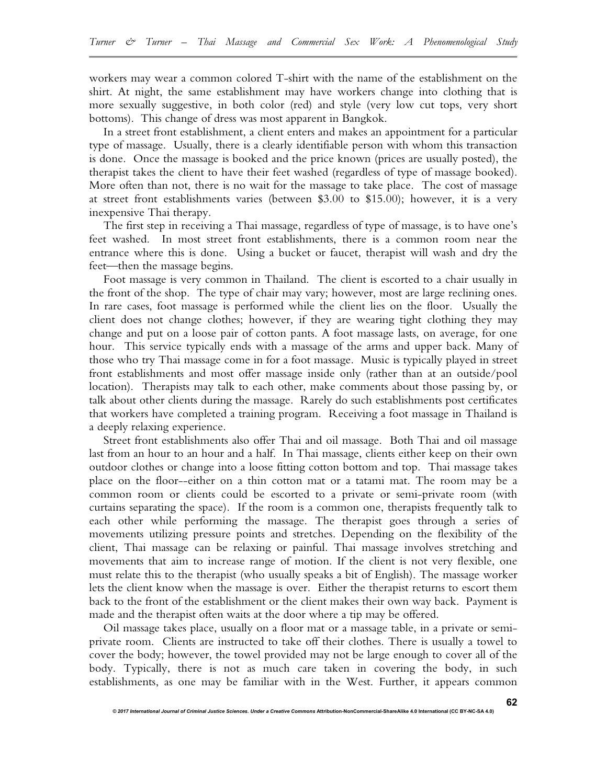workers may wear a common colored T-shirt with the name of the establishment on the shirt. At night, the same establishment may have workers change into clothing that is more sexually suggestive, in both color (red) and style (very low cut tops, very short bottoms). This change of dress was most apparent in Bangkok.

In a street front establishment, a client enters and makes an appointment for a particular type of massage. Usually, there is a clearly identifiable person with whom this transaction is done. Once the massage is booked and the price known (prices are usually posted), the therapist takes the client to have their feet washed (regardless of type of massage booked). More often than not, there is no wait for the massage to take place. The cost of massage at street front establishments varies (between \$3.00 to \$15.00); however, it is a very inexpensive Thai therapy.

The first step in receiving a Thai massage, regardless of type of massage, is to have one's feet washed. In most street front establishments, there is a common room near the entrance where this is done. Using a bucket or faucet, therapist will wash and dry the feet—then the massage begins.

Foot massage is very common in Thailand. The client is escorted to a chair usually in the front of the shop. The type of chair may vary; however, most are large reclining ones. In rare cases, foot massage is performed while the client lies on the floor. Usually the client does not change clothes; however, if they are wearing tight clothing they may change and put on a loose pair of cotton pants. A foot massage lasts, on average, for one hour. This service typically ends with a massage of the arms and upper back. Many of those who try Thai massage come in for a foot massage. Music is typically played in street front establishments and most offer massage inside only (rather than at an outside/pool location). Therapists may talk to each other, make comments about those passing by, or talk about other clients during the massage. Rarely do such establishments post certificates that workers have completed a training program. Receiving a foot massage in Thailand is a deeply relaxing experience.

Street front establishments also offer Thai and oil massage. Both Thai and oil massage last from an hour to an hour and a half. In Thai massage, clients either keep on their own outdoor clothes or change into a loose fitting cotton bottom and top. Thai massage takes place on the floor--either on a thin cotton mat or a tatami mat. The room may be a common room or clients could be escorted to a private or semi-private room (with curtains separating the space). If the room is a common one, therapists frequently talk to each other while performing the massage. The therapist goes through a series of movements utilizing pressure points and stretches. Depending on the flexibility of the client, Thai massage can be relaxing or painful. Thai massage involves stretching and movements that aim to increase range of motion. If the client is not very flexible, one must relate this to the therapist (who usually speaks a bit of English). The massage worker lets the client know when the massage is over. Either the therapist returns to escort them back to the front of the establishment or the client makes their own way back. Payment is made and the therapist often waits at the door where a tip may be offered.

Oil massage takes place, usually on a floor mat or a massage table, in a private or semiprivate room. Clients are instructed to take off their clothes. There is usually a towel to cover the body; however, the towel provided may not be large enough to cover all of the body. Typically, there is not as much care taken in covering the body, in such establishments, as one may be familiar with in the West. Further, it appears common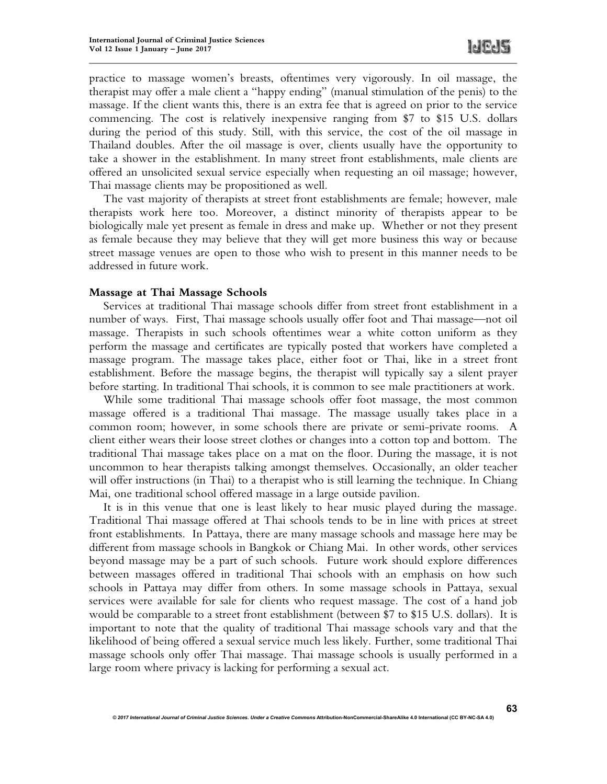**63**

practice to massage women's breasts, oftentimes very vigorously. In oil massage, the therapist may offer a male client a "happy ending" (manual stimulation of the penis) to the massage. If the client wants this, there is an extra fee that is agreed on prior to the service commencing. The cost is relatively inexpensive ranging from \$7 to \$15 U.S. dollars during the period of this study. Still, with this service, the cost of the oil massage in Thailand doubles. After the oil massage is over, clients usually have the opportunity to take a shower in the establishment. In many street front establishments, male clients are offered an unsolicited sexual service especially when requesting an oil massage; however, Thai massage clients may be propositioned as well.

The vast majority of therapists at street front establishments are female; however, male therapists work here too. Moreover, a distinct minority of therapists appear to be biologically male yet present as female in dress and make up. Whether or not they present as female because they may believe that they will get more business this way or because street massage venues are open to those who wish to present in this manner needs to be addressed in future work.

## **Massage at Thai Massage Schools**

Services at traditional Thai massage schools differ from street front establishment in a number of ways. First, Thai massage schools usually offer foot and Thai massage—not oil massage. Therapists in such schools oftentimes wear a white cotton uniform as they perform the massage and certificates are typically posted that workers have completed a massage program. The massage takes place, either foot or Thai, like in a street front establishment. Before the massage begins, the therapist will typically say a silent prayer before starting. In traditional Thai schools, it is common to see male practitioners at work.

While some traditional Thai massage schools offer foot massage, the most common massage offered is a traditional Thai massage. The massage usually takes place in a common room; however, in some schools there are private or semi-private rooms. A client either wears their loose street clothes or changes into a cotton top and bottom. The traditional Thai massage takes place on a mat on the floor. During the massage, it is not uncommon to hear therapists talking amongst themselves. Occasionally, an older teacher will offer instructions (in Thai) to a therapist who is still learning the technique. In Chiang Mai, one traditional school offered massage in a large outside pavilion.

It is in this venue that one is least likely to hear music played during the massage. Traditional Thai massage offered at Thai schools tends to be in line with prices at street front establishments. In Pattaya, there are many massage schools and massage here may be different from massage schools in Bangkok or Chiang Mai. In other words, other services beyond massage may be a part of such schools. Future work should explore differences between massages offered in traditional Thai schools with an emphasis on how such schools in Pattaya may differ from others. In some massage schools in Pattaya, sexual services were available for sale for clients who request massage. The cost of a hand job would be comparable to a street front establishment (between \$7 to \$15 U.S. dollars). It is important to note that the quality of traditional Thai massage schools vary and that the likelihood of being offered a sexual service much less likely. Further, some traditional Thai massage schools only offer Thai massage. Thai massage schools is usually performed in a large room where privacy is lacking for performing a sexual act.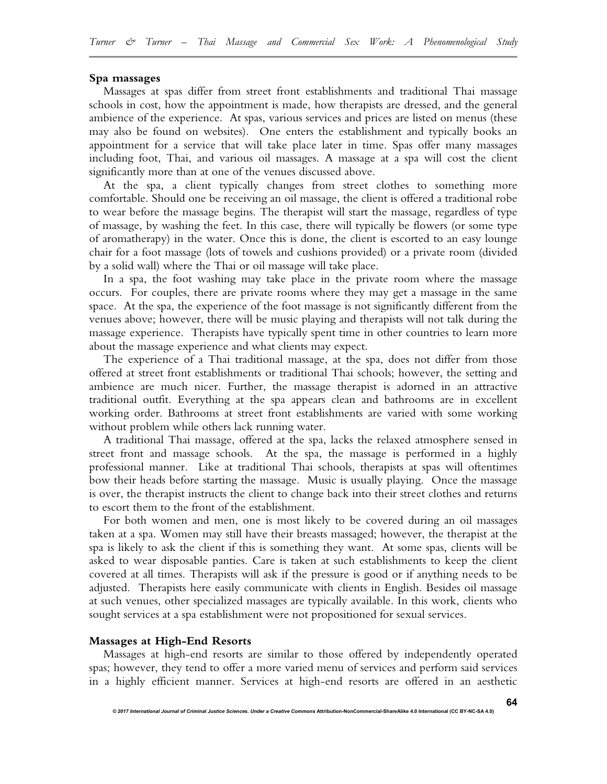#### **Spa massages**

Massages at spas differ from street front establishments and traditional Thai massage schools in cost, how the appointment is made, how therapists are dressed, and the general ambience of the experience. At spas, various services and prices are listed on menus (these may also be found on websites). One enters the establishment and typically books an appointment for a service that will take place later in time. Spas offer many massages including foot, Thai, and various oil massages. A massage at a spa will cost the client significantly more than at one of the venues discussed above.

At the spa, a client typically changes from street clothes to something more comfortable. Should one be receiving an oil massage, the client is offered a traditional robe to wear before the massage begins. The therapist will start the massage, regardless of type of massage, by washing the feet. In this case, there will typically be flowers (or some type of aromatherapy) in the water. Once this is done, the client is escorted to an easy lounge chair for a foot massage (lots of towels and cushions provided) or a private room (divided by a solid wall) where the Thai or oil massage will take place.

In a spa, the foot washing may take place in the private room where the massage occurs. For couples, there are private rooms where they may get a massage in the same space. At the spa, the experience of the foot massage is not significantly different from the venues above; however, there will be music playing and therapists will not talk during the massage experience. Therapists have typically spent time in other countries to learn more about the massage experience and what clients may expect.

The experience of a Thai traditional massage, at the spa, does not differ from those offered at street front establishments or traditional Thai schools; however, the setting and ambience are much nicer. Further, the massage therapist is adorned in an attractive traditional outfit. Everything at the spa appears clean and bathrooms are in excellent working order. Bathrooms at street front establishments are varied with some working without problem while others lack running water.

A traditional Thai massage, offered at the spa, lacks the relaxed atmosphere sensed in street front and massage schools. At the spa, the massage is performed in a highly professional manner. Like at traditional Thai schools, therapists at spas will oftentimes bow their heads before starting the massage. Music is usually playing. Once the massage is over, the therapist instructs the client to change back into their street clothes and returns to escort them to the front of the establishment.

For both women and men, one is most likely to be covered during an oil massages taken at a spa. Women may still have their breasts massaged; however, the therapist at the spa is likely to ask the client if this is something they want. At some spas, clients will be asked to wear disposable panties. Care is taken at such establishments to keep the client covered at all times. Therapists will ask if the pressure is good or if anything needs to be adjusted. Therapists here easily communicate with clients in English. Besides oil massage at such venues, other specialized massages are typically available. In this work, clients who sought services at a spa establishment were not propositioned for sexual services.

#### **Massages at High-End Resorts**

Massages at high-end resorts are similar to those offered by independently operated spas; however, they tend to offer a more varied menu of services and perform said services in a highly efficient manner. Services at high-end resorts are offered in an aesthetic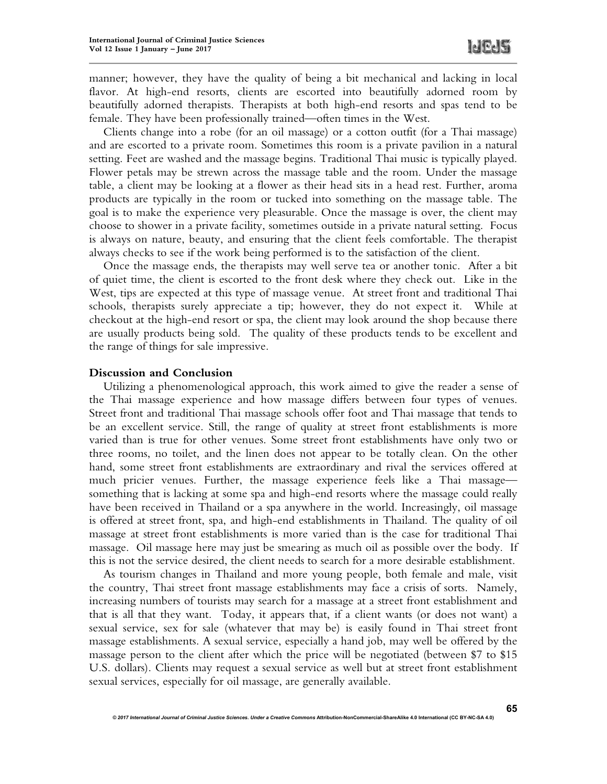**65**

manner; however, they have the quality of being a bit mechanical and lacking in local flavor. At high-end resorts, clients are escorted into beautifully adorned room by beautifully adorned therapists. Therapists at both high-end resorts and spas tend to be female. They have been professionally trained—often times in the West.

Clients change into a robe (for an oil massage) or a cotton outfit (for a Thai massage) and are escorted to a private room. Sometimes this room is a private pavilion in a natural setting. Feet are washed and the massage begins. Traditional Thai music is typically played. Flower petals may be strewn across the massage table and the room. Under the massage table, a client may be looking at a flower as their head sits in a head rest. Further, aroma products are typically in the room or tucked into something on the massage table. The goal is to make the experience very pleasurable. Once the massage is over, the client may choose to shower in a private facility, sometimes outside in a private natural setting. Focus is always on nature, beauty, and ensuring that the client feels comfortable. The therapist always checks to see if the work being performed is to the satisfaction of the client.

Once the massage ends, the therapists may well serve tea or another tonic. After a bit of quiet time, the client is escorted to the front desk where they check out. Like in the West, tips are expected at this type of massage venue. At street front and traditional Thai schools, therapists surely appreciate a tip; however, they do not expect it. While at checkout at the high-end resort or spa, the client may look around the shop because there are usually products being sold. The quality of these products tends to be excellent and the range of things for sale impressive.

## **Discussion and Conclusion**

Utilizing a phenomenological approach, this work aimed to give the reader a sense of the Thai massage experience and how massage differs between four types of venues. Street front and traditional Thai massage schools offer foot and Thai massage that tends to be an excellent service. Still, the range of quality at street front establishments is more varied than is true for other venues. Some street front establishments have only two or three rooms, no toilet, and the linen does not appear to be totally clean. On the other hand, some street front establishments are extraordinary and rival the services offered at much pricier venues. Further, the massage experience feels like a Thai massage something that is lacking at some spa and high-end resorts where the massage could really have been received in Thailand or a spa anywhere in the world. Increasingly, oil massage is offered at street front, spa, and high-end establishments in Thailand. The quality of oil massage at street front establishments is more varied than is the case for traditional Thai massage. Oil massage here may just be smearing as much oil as possible over the body. If this is not the service desired, the client needs to search for a more desirable establishment.

As tourism changes in Thailand and more young people, both female and male, visit the country, Thai street front massage establishments may face a crisis of sorts. Namely, increasing numbers of tourists may search for a massage at a street front establishment and that is all that they want. Today, it appears that, if a client wants (or does not want) a sexual service, sex for sale (whatever that may be) is easily found in Thai street front massage establishments. A sexual service, especially a hand job, may well be offered by the massage person to the client after which the price will be negotiated (between \$7 to \$15 U.S. dollars). Clients may request a sexual service as well but at street front establishment sexual services, especially for oil massage, are generally available.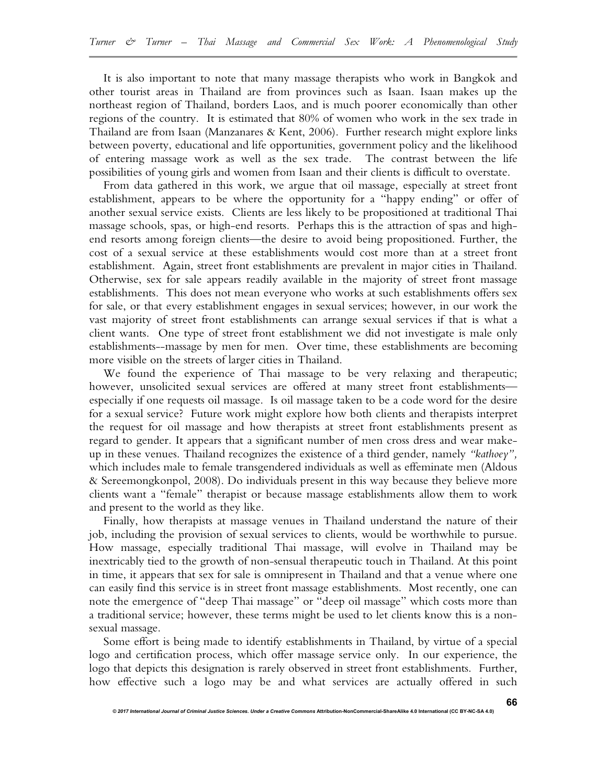It is also important to note that many massage therapists who work in Bangkok and other tourist areas in Thailand are from provinces such as Isaan. Isaan makes up the northeast region of Thailand, borders Laos, and is much poorer economically than other regions of the country. It is estimated that 80% of women who work in the sex trade in Thailand are from Isaan (Manzanares & Kent, 2006). Further research might explore links between poverty, educational and life opportunities, government policy and the likelihood of entering massage work as well as the sex trade. The contrast between the life possibilities of young girls and women from Isaan and their clients is difficult to overstate.

From data gathered in this work, we argue that oil massage, especially at street front establishment, appears to be where the opportunity for a "happy ending" or offer of another sexual service exists. Clients are less likely to be propositioned at traditional Thai massage schools, spas, or high-end resorts. Perhaps this is the attraction of spas and highend resorts among foreign clients—the desire to avoid being propositioned. Further, the cost of a sexual service at these establishments would cost more than at a street front establishment. Again, street front establishments are prevalent in major cities in Thailand. Otherwise, sex for sale appears readily available in the majority of street front massage establishments. This does not mean everyone who works at such establishments offers sex for sale, or that every establishment engages in sexual services; however, in our work the vast majority of street front establishments can arrange sexual services if that is what a client wants. One type of street front establishment we did not investigate is male only establishments--massage by men for men. Over time, these establishments are becoming more visible on the streets of larger cities in Thailand.

We found the experience of Thai massage to be very relaxing and therapeutic; however, unsolicited sexual services are offered at many street front establishments especially if one requests oil massage. Is oil massage taken to be a code word for the desire for a sexual service? Future work might explore how both clients and therapists interpret the request for oil massage and how therapists at street front establishments present as regard to gender. It appears that a significant number of men cross dress and wear makeup in these venues. Thailand recognizes the existence of a third gender, namely *"kathoey",* which includes male to female transgendered individuals as well as effeminate men (Aldous & Sereemongkonpol, 2008). Do individuals present in this way because they believe more clients want a "female" therapist or because massage establishments allow them to work and present to the world as they like.

Finally, how therapists at massage venues in Thailand understand the nature of their job, including the provision of sexual services to clients, would be worthwhile to pursue. How massage, especially traditional Thai massage, will evolve in Thailand may be inextricably tied to the growth of non-sensual therapeutic touch in Thailand. At this point in time, it appears that sex for sale is omnipresent in Thailand and that a venue where one can easily find this service is in street front massage establishments. Most recently, one can note the emergence of "deep Thai massage" or "deep oil massage" which costs more than a traditional service; however, these terms might be used to let clients know this is a nonsexual massage.

Some effort is being made to identify establishments in Thailand, by virtue of a special logo and certification process, which offer massage service only. In our experience, the logo that depicts this designation is rarely observed in street front establishments. Further, how effective such a logo may be and what services are actually offered in such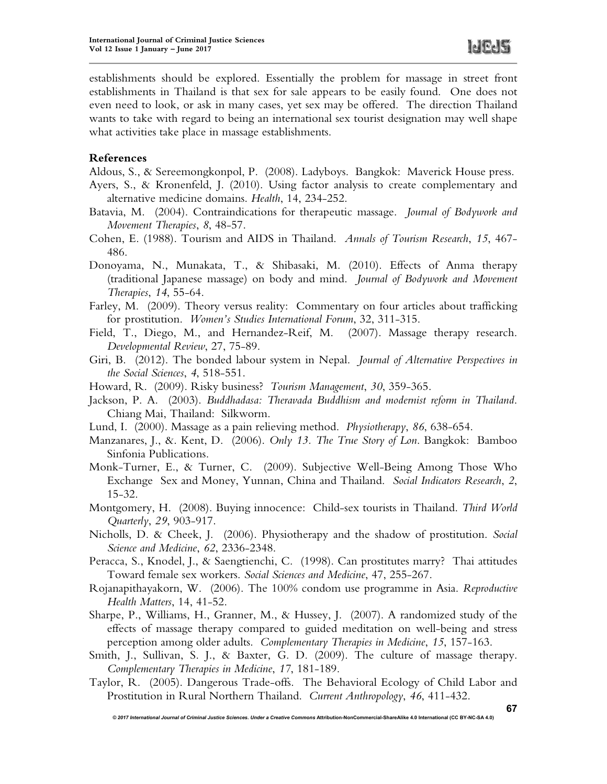establishments should be explored. Essentially the problem for massage in street front establishments in Thailand is that sex for sale appears to be easily found. One does not even need to look, or ask in many cases, yet sex may be offered. The direction Thailand wants to take with regard to being an international sex tourist designation may well shape what activities take place in massage establishments.

## **References**

Aldous, S., & Sereemongkonpol, P. (2008). Ladyboys. Bangkok: Maverick House press.

- Ayers, S., & Kronenfeld, J. (2010). Using factor analysis to create complementary and alternative medicine domains. *Health*, 14, 234-252.
- Batavia, M. (2004). Contraindications for therapeutic massage. *Journal of Bodywork and Movement Therapies*, *8*, 48-57.
- Cohen, E. (1988). Tourism and AIDS in Thailand. *Annals of Tourism Research*, *15*, 467- 486.
- Donoyama, N., Munakata, T., & Shibasaki, M. (2010). Effects of Anma therapy (traditional Japanese massage) on body and mind. *Journal of Bodywork and Movement Therapies*, *14*, 55-64.
- Farley, M. (2009). Theory versus reality: Commentary on four articles about trafficking for prostitution. *Women's Studies International Forum*, 32, 311-315.
- Field, T., Diego, M., and Hernandez-Reif, M. (2007). Massage therapy research. *Developmental Review*, 27, 75-89.
- Giri, B. (2012). The bonded labour system in Nepal. *Journal of Alternative Perspectives in the Social Sciences*, *4*, 518-551.
- Howard, R. (2009). Risky business? *Tourism Management*, *30*, 359-365.
- Jackson, P. A. (2003). *Buddhadasa: Theravada Buddhism and modernist reform in Thailand*. Chiang Mai, Thailand: Silkworm.
- Lund, I. (2000). Massage as a pain relieving method. *Physiotherapy*, *86*, 638-654.
- Manzanares, J., &. Kent, D. (2006). *Only 13. The True Story of Lon*. Bangkok: Bamboo Sinfonia Publications.
- Monk-Turner, E., & Turner, C. (2009). Subjective Well-Being Among Those Who Exchange Sex and Money, Yunnan, China and Thailand. *Social Indicators Research*, *2*, 15-32.
- Montgomery, H. (2008). Buying innocence: Child-sex tourists in Thailand. *Third World Quarterly*, *29*, 903-917.
- Nicholls, D. & Cheek, J. (2006). Physiotherapy and the shadow of prostitution. *Social Science and Medicine*, *62*, 2336-2348.
- Peracca, S., Knodel, J., & Saengtienchi, C. (1998). Can prostitutes marry? Thai attitudes Toward female sex workers. *Social Sciences and Medicine*, 47, 255-267.
- Rojanapithayakorn, W. (2006). The 100% condom use programme in Asia. *Reproductive Health Matters*, 14, 41-52.
- Sharpe, P., Williams, H., Granner, M., & Hussey, J. (2007). A randomized study of the effects of massage therapy compared to guided meditation on well-being and stress perception among older adults. *Complementary Therapies in Medicine*, *15*, 157-163.
- Smith, J., Sullivan, S. J., & Baxter, G. D. (2009). The culture of massage therapy. *Complementary Therapies in Medicine*, *17*, 181-189.
- Taylor, R. (2005). Dangerous Trade-offs. The Behavioral Ecology of Child Labor and Prostitution in Rural Northern Thailand. *Current Anthropology*, *46*, 411-432.